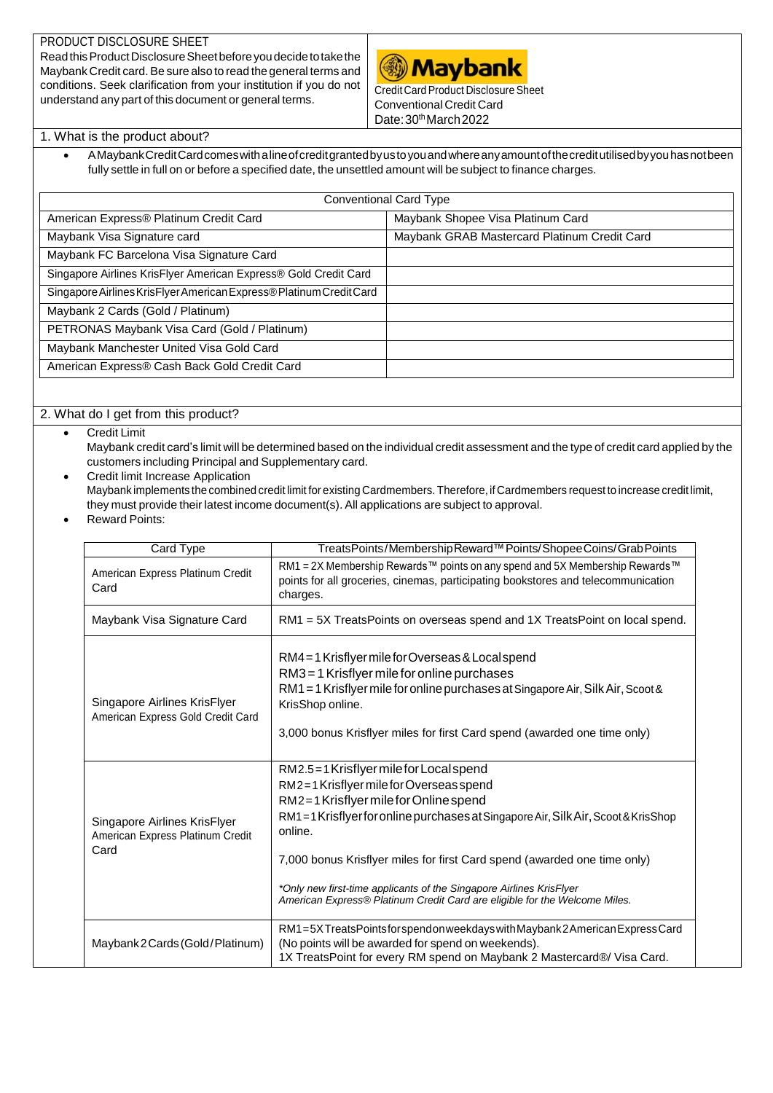## PRODUCT DISCLOSURE SHEET

ReadthisProductDisclosureSheetbeforeyoudecidetotakethe Maybank Credit card.Be sure also to read the general terms and conditions. Seek clarification from your institution if you do not understand any part of this document or general terms.



Credit Card Product Disclosure Sheet Conventional Credit Card Date: 30th March 2022

## 1. What is the product about?

 AMaybankCreditCardcomeswithalineofcreditgrantedbyustoyouandwhereanyamountofthecreditutilisedbyyouhasnotbeen fully settle in full on or before a specified date, the unsettled amount will be subject to finance charges.

| <b>Conventional Card Type</b>                                       |                                              |  |  |  |  |
|---------------------------------------------------------------------|----------------------------------------------|--|--|--|--|
| American Express® Platinum Credit Card                              | Maybank Shopee Visa Platinum Card            |  |  |  |  |
| Maybank Visa Signature card                                         | Maybank GRAB Mastercard Platinum Credit Card |  |  |  |  |
| Maybank FC Barcelona Visa Signature Card                            |                                              |  |  |  |  |
| Singapore Airlines KrisFlyer American Express® Gold Credit Card     |                                              |  |  |  |  |
| Singapore Airlines KrisFlyer American Express® Platinum Credit Card |                                              |  |  |  |  |
| Maybank 2 Cards (Gold / Platinum)                                   |                                              |  |  |  |  |
| PETRONAS Maybank Visa Card (Gold / Platinum)                        |                                              |  |  |  |  |
| Maybank Manchester United Visa Gold Card                            |                                              |  |  |  |  |
| American Express® Cash Back Gold Credit Card                        |                                              |  |  |  |  |

## 2. What do I get from this product?

- Credit Limit Maybank credit card's limit will be determined based on the individual credit assessment and the type of credit card applied by the customers including Principal and Supplementary card.
	- Credit limit Increase Application Maybank implements the combined credit limit for existing Cardmembers. Therefore, if Cardmembers request to increase credit limit, they must provide their latest income document(s). All applications are subject to approval.
	- Reward Points:

| Card Type                                                                | TreatsPoints/MembershipReward™ Points/ShopeeCoins/GrabPoints                                                                                                                                                                                                                                                                                                                                                                                                 |
|--------------------------------------------------------------------------|--------------------------------------------------------------------------------------------------------------------------------------------------------------------------------------------------------------------------------------------------------------------------------------------------------------------------------------------------------------------------------------------------------------------------------------------------------------|
| American Express Platinum Credit<br>Card                                 | RM1 = 2X Membership Rewards™ points on any spend and 5X Membership Rewards™<br>points for all groceries, cinemas, participating bookstores and telecommunication<br>charges.                                                                                                                                                                                                                                                                                 |
| Maybank Visa Signature Card                                              | RM1 = 5X TreatsPoints on overseas spend and 1X TreatsPoint on local spend.                                                                                                                                                                                                                                                                                                                                                                                   |
| Singapore Airlines KrisFlyer<br>American Express Gold Credit Card        | RM4=1 Krisflyer mile for Overseas & Local spend<br>RM3 = 1 Krisflyer mile for online purchases<br>RM1 = 1 Krisflyer mile for online purchases at Singapore Air, Silk Air, Scoot &<br>KrisShop online.<br>3,000 bonus Krisflyer miles for first Card spend (awarded one time only)                                                                                                                                                                            |
| Singapore Airlines KrisFlyer<br>American Express Platinum Credit<br>Card | RM2.5=1 Krisflyer mile for Local spend<br>RM2=1Krisflyer mile for Overseas spend<br>RM2=1 Krisflyer mile for Online spend<br>RM1 = 1 Krisflyer for online purchases at Singapore Air, Silk Air, Scoot & KrisShop<br>online.<br>7,000 bonus Krisflyer miles for first Card spend (awarded one time only)<br>*Only new first-time applicants of the Singapore Airlines KrisFlyer<br>American Express® Platinum Credit Card are eligible for the Welcome Miles. |
| Maybank 2 Cards (Gold/Platinum)                                          | RM1=5XTreatsPointsforspendonweekdayswithMaybank2AmericanExpressCard<br>(No points will be awarded for spend on weekends).<br>1X TreatsPoint for every RM spend on Maybank 2 Mastercard®/ Visa Card.                                                                                                                                                                                                                                                          |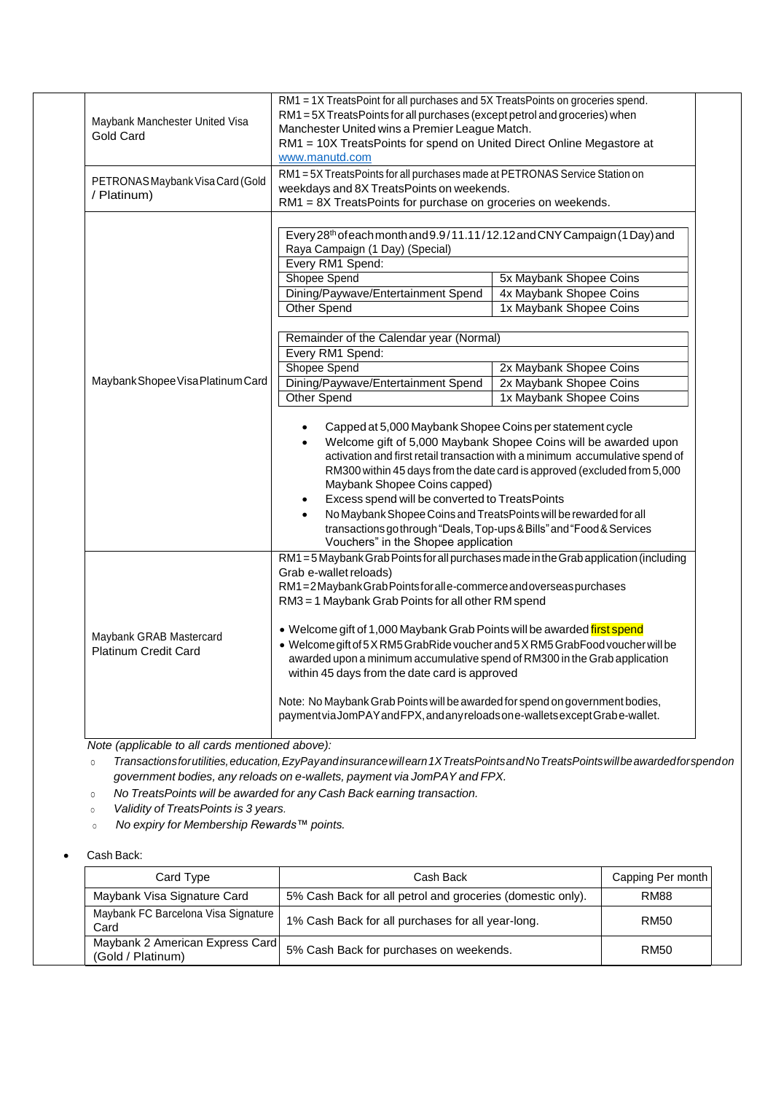| Maybank Manchester United Visa<br><b>Gold Card</b>     | RM1 = 1X TreatsPoint for all purchases and 5X TreatsPoints on groceries spend.<br>RM1 = 5X TreatsPoints for all purchases (except petrol and groceries) when<br>Manchester United wins a Premier League Match.<br>RM1 = 10X TreatsPoints for spend on United Direct Online Megastore at<br>www.manutd.com                                                                                                                                                                                                                                                                                                                                                                                            |                                                                                                                                                                                                                                                                                                                                                                                               |  |  |  |
|--------------------------------------------------------|------------------------------------------------------------------------------------------------------------------------------------------------------------------------------------------------------------------------------------------------------------------------------------------------------------------------------------------------------------------------------------------------------------------------------------------------------------------------------------------------------------------------------------------------------------------------------------------------------------------------------------------------------------------------------------------------------|-----------------------------------------------------------------------------------------------------------------------------------------------------------------------------------------------------------------------------------------------------------------------------------------------------------------------------------------------------------------------------------------------|--|--|--|
| PETRONAS Maybank Visa Card (Gold<br>/ Platinum)        | RM1 = 5X TreatsPoints for all purchases made at PETRONAS Service Station on<br>weekdays and 8X TreatsPoints on weekends.<br>RM1 = 8X TreatsPoints for purchase on groceries on weekends.                                                                                                                                                                                                                                                                                                                                                                                                                                                                                                             |                                                                                                                                                                                                                                                                                                                                                                                               |  |  |  |
| Maybank Shopee Visa Platinum Card                      | Every 28th of each month and 9.9/11.11/12.12 and CNY Campaign (1 Day) and<br>Raya Campaign (1 Day) (Special)<br>Every RM1 Spend:<br>Shopee Spend<br>Dining/Paywave/Entertainment Spend<br><b>Other Spend</b><br>Remainder of the Calendar year (Normal)<br>Every RM1 Spend:<br>Shopee Spend<br>Dining/Paywave/Entertainment Spend<br>Other Spend<br>Capped at 5,000 Maybank Shopee Coins per statement cycle<br>$\bullet$<br>Maybank Shopee Coins capped)<br>Excess spend will be converted to TreatsPoints<br>No Maybank Shopee Coins and TreatsPoints will be rewarded for all<br>transactions go through "Deals, Top-ups & Bills" and "Food & Services<br>Vouchers" in the Shopee application     | 5x Maybank Shopee Coins<br>4x Maybank Shopee Coins<br>1x Maybank Shopee Coins<br>2x Maybank Shopee Coins<br>2x Maybank Shopee Coins<br>1x Maybank Shopee Coins<br>Welcome gift of 5,000 Maybank Shopee Coins will be awarded upon<br>activation and first retail transaction with a minimum accumulative spend of<br>RM300 within 45 days from the date card is approved (excluded from 5,000 |  |  |  |
| Maybank GRAB Mastercard<br><b>Platinum Credit Card</b> | RM1 = 5 Maybank Grab Points for all purchases made in the Grab application (including<br>Grab e-wallet reloads)<br>RM1=2MaybankGrabPointsforalle-commerce and overseas purchases<br>RM3 = 1 Maybank Grab Points for all other RM spend<br>. Welcome gift of 1,000 Maybank Grab Points will be awarded first spend<br>• Welcome gift of 5 X RM5 GrabRide voucher and 5 X RM5 GrabFood voucher will be<br>awarded upon a minimum accumulative spend of RM300 in the Grab application<br>within 45 days from the date card is approved<br>Note: No Maybank Grab Points will be awarded for spend on government bodies,<br>payment via JomPAY and FPX, and any reloads on e-wallets except Grabe-wallet. |                                                                                                                                                                                                                                                                                                                                                                                               |  |  |  |

 *Note (applicable to all cards mentioned above):* 

o *Transactionsforutilities,education,EzyPayandinsurancewillearn1XTreatsPointsandNoTreatsPointswillbeawardedforspendon government bodies, any reloads on e-wallets, payment via JomPAY and FPX.*

o *No TreatsPoints will be awarded for any Cash Back earning transaction.* 

<sup>o</sup> *Validity of TreatsPoints is 3 years.*

<sup>o</sup> *No expiry for Membership Rewards™ points.*

Cash Back:

| Card Type                                            | Cash Back                                                  | Capping Per month |
|------------------------------------------------------|------------------------------------------------------------|-------------------|
| Maybank Visa Signature Card                          | 5% Cash Back for all petrol and groceries (domestic only). | <b>RM88</b>       |
| Maybank FC Barcelona Visa Signature  <br>Card        | 1% Cash Back for all purchases for all year-long.          | RM50              |
| Maybank 2 American Express Card<br>(Gold / Platinum) | 5% Cash Back for purchases on weekends.                    | RM50              |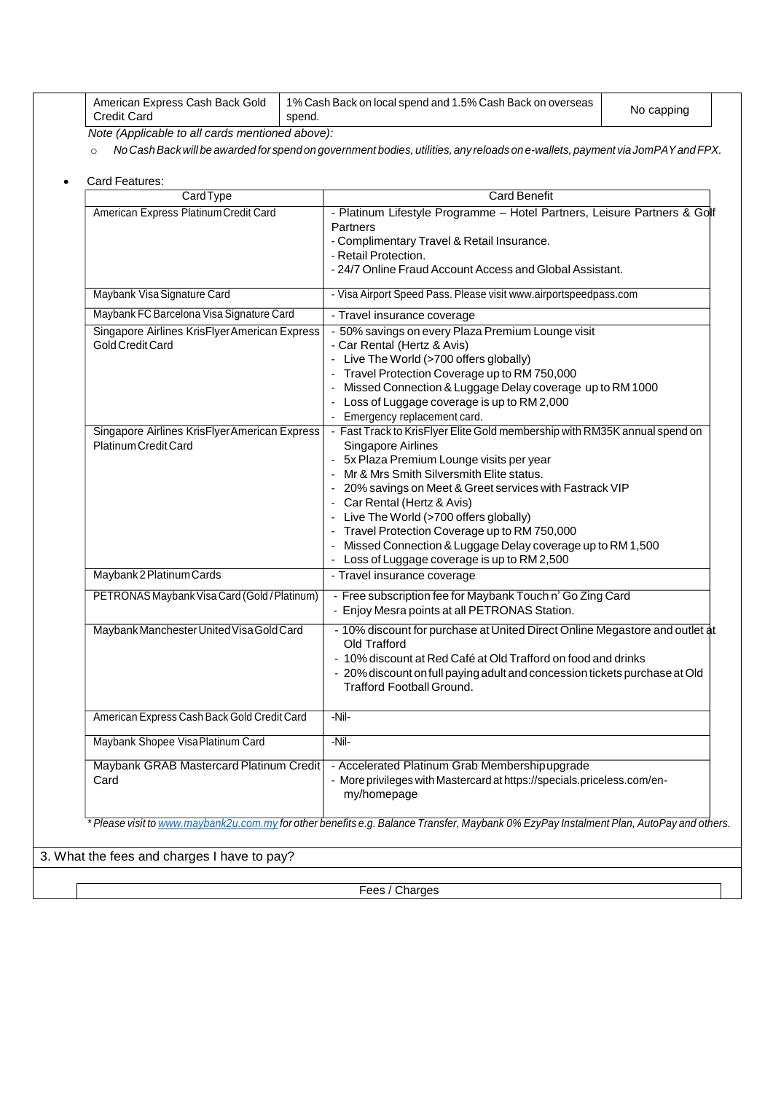| American Express Cash Back Gold<br>Credit Card    | 1% Cash Back on local spend and 1.5% Cash Back on overseas<br>spend. | No capping |  |
|---------------------------------------------------|----------------------------------------------------------------------|------------|--|
| $Moto (Amoliophlo to all as de machine polohovol$ |                                                                      |            |  |

*Note (Applicable to all cards mentioned above):*

o No Cash Back will be awarded for spend on government bodies, utilities, any reloads on e-wallets, payment via JomPAY and FPX.

| Card Features: |
|----------------|
|                |

| CardType                                                              | <b>Card Benefit</b>                                                                                                                                                                                                                                                                                                                                                                                                                                                                           |  |  |  |  |
|-----------------------------------------------------------------------|-----------------------------------------------------------------------------------------------------------------------------------------------------------------------------------------------------------------------------------------------------------------------------------------------------------------------------------------------------------------------------------------------------------------------------------------------------------------------------------------------|--|--|--|--|
| American Express Platinum Credit Card                                 | - Platinum Lifestyle Programme - Hotel Partners, Leisure Partners & Golf<br>Partners<br>- Complimentary Travel & Retail Insurance.<br>- Retail Protection.<br>- 24/7 Online Fraud Account Access and Global Assistant.                                                                                                                                                                                                                                                                        |  |  |  |  |
| Maybank Visa Signature Card                                           | - Visa Airport Speed Pass. Please visit www.airportspeedpass.com                                                                                                                                                                                                                                                                                                                                                                                                                              |  |  |  |  |
| Maybank FC Barcelona Visa Signature Card                              | - Travel insurance coverage                                                                                                                                                                                                                                                                                                                                                                                                                                                                   |  |  |  |  |
| Singapore Airlines KrisFlyer American Express<br>Gold Credit Card     | - 50% savings on every Plaza Premium Lounge visit<br>- Car Rental (Hertz & Avis)<br>- Live The World (>700 offers globally)<br>- Travel Protection Coverage up to RM 750,000<br>- Missed Connection & Luggage Delay coverage up to RM 1000<br>- Loss of Luggage coverage is up to RM 2,000<br>- Emergency replacement card.                                                                                                                                                                   |  |  |  |  |
| Singapore Airlines KrisFlyer American Express<br>Platinum Credit Card | - Fast Track to KrisFlyer Elite Gold membership with RM35K annual spend on<br>Singapore Airlines<br>- 5x Plaza Premium Lounge visits per year<br>- Mr & Mrs Smith Silversmith Elite status.<br>- 20% savings on Meet & Greet services with Fastrack VIP<br>- Car Rental (Hertz & Avis)<br>- Live The World (>700 offers globally)<br>- Travel Protection Coverage up to RM 750,000<br>Missed Connection & Luggage Delay coverage up to RM 1,500<br>Loss of Luggage coverage is up to RM 2,500 |  |  |  |  |
| Maybank 2 Platinum Cards                                              | - Travel insurance coverage                                                                                                                                                                                                                                                                                                                                                                                                                                                                   |  |  |  |  |
| PETRONAS Maybank Visa Card (Gold / Platinum)                          | - Free subscription fee for Maybank Touch n' Go Zing Card<br>- Enjoy Mesra points at all PETRONAS Station.                                                                                                                                                                                                                                                                                                                                                                                    |  |  |  |  |
| Maybank Manchester United Visa Gold Card                              | - 10% discount for purchase at United Direct Online Megastore and outlet at<br>Old Trafford<br>- 10% discount at Red Café at Old Trafford on food and drinks<br>- 20% discount on full paying adult and concession tickets purchase at Old<br><b>Trafford Football Ground.</b>                                                                                                                                                                                                                |  |  |  |  |
| American Express Cash Back Gold Credit Card                           | $-NiI-$                                                                                                                                                                                                                                                                                                                                                                                                                                                                                       |  |  |  |  |
| Maybank Shopee Visa Platinum Card                                     | $-Ni-$                                                                                                                                                                                                                                                                                                                                                                                                                                                                                        |  |  |  |  |
| Maybank GRAB Mastercard Platinum Credit<br>Card                       | - Accelerated Platinum Grab Membershipupgrade<br>- More privileges with Mastercard at https://specials.priceless.com/en-<br>my/homepage                                                                                                                                                                                                                                                                                                                                                       |  |  |  |  |

3. What the fees and charges I have to pay?

Fees / Charges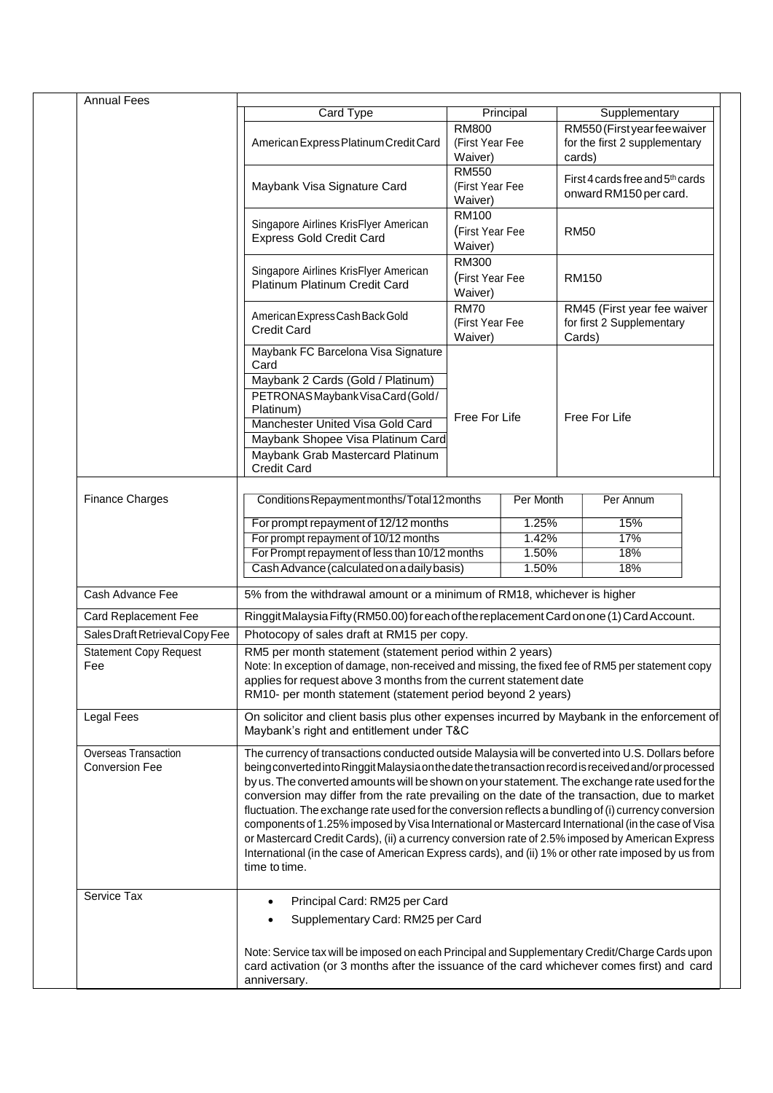| <b>Annual Fees</b>                            |                                                                                                                                                                                                                                                                                                                                                                                                                                                                                                                                                                                                                                                                                                                                                                                                                                                        |                                            |                                |                                         |                                                            |  |
|-----------------------------------------------|--------------------------------------------------------------------------------------------------------------------------------------------------------------------------------------------------------------------------------------------------------------------------------------------------------------------------------------------------------------------------------------------------------------------------------------------------------------------------------------------------------------------------------------------------------------------------------------------------------------------------------------------------------------------------------------------------------------------------------------------------------------------------------------------------------------------------------------------------------|--------------------------------------------|--------------------------------|-----------------------------------------|------------------------------------------------------------|--|
|                                               | Card Type                                                                                                                                                                                                                                                                                                                                                                                                                                                                                                                                                                                                                                                                                                                                                                                                                                              | <b>RM800</b>                               | Principal                      |                                         | Supplementary<br>RM550 (First year fee waiver              |  |
|                                               | American Express Platinum Credit Card                                                                                                                                                                                                                                                                                                                                                                                                                                                                                                                                                                                                                                                                                                                                                                                                                  | (First Year Fee<br>Waiver)                 |                                | for the first 2 supplementary<br>cards) |                                                            |  |
|                                               | Maybank Visa Signature Card                                                                                                                                                                                                                                                                                                                                                                                                                                                                                                                                                                                                                                                                                                                                                                                                                            | <b>RM550</b><br>(First Year Fee<br>Waiver) |                                |                                         | First 4 cards free and 5th cards<br>onward RM150 per card. |  |
|                                               | Singapore Airlines KrisFlyer American<br><b>Express Gold Credit Card</b>                                                                                                                                                                                                                                                                                                                                                                                                                                                                                                                                                                                                                                                                                                                                                                               | <b>RM100</b><br>(First Year Fee<br>Waiver) |                                | <b>RM50</b>                             |                                                            |  |
|                                               | Singapore Airlines KrisFlyer American<br>Platinum Platinum Credit Card                                                                                                                                                                                                                                                                                                                                                                                                                                                                                                                                                                                                                                                                                                                                                                                 | <b>RM300</b><br>(First Year Fee<br>Waiver) |                                | <b>RM150</b>                            |                                                            |  |
|                                               | American Express Cash Back Gold<br><b>Credit Card</b>                                                                                                                                                                                                                                                                                                                                                                                                                                                                                                                                                                                                                                                                                                                                                                                                  | <b>RM70</b><br>(First Year Fee<br>Waiver)  |                                | Cards)                                  | RM45 (First year fee waiver<br>for first 2 Supplementary   |  |
|                                               | Maybank FC Barcelona Visa Signature<br>Card                                                                                                                                                                                                                                                                                                                                                                                                                                                                                                                                                                                                                                                                                                                                                                                                            |                                            |                                |                                         |                                                            |  |
|                                               | Maybank 2 Cards (Gold / Platinum)<br>PETRONASMaybank Visa Card (Gold/<br>Platinum)<br>Manchester United Visa Gold Card<br>Maybank Shopee Visa Platinum Card                                                                                                                                                                                                                                                                                                                                                                                                                                                                                                                                                                                                                                                                                            |                                            | Free For Life<br>Free For Life |                                         |                                                            |  |
|                                               | Maybank Grab Mastercard Platinum<br><b>Credit Card</b>                                                                                                                                                                                                                                                                                                                                                                                                                                                                                                                                                                                                                                                                                                                                                                                                 |                                            |                                |                                         |                                                            |  |
| <b>Finance Charges</b>                        | Conditions Repayment months/Total 12 months                                                                                                                                                                                                                                                                                                                                                                                                                                                                                                                                                                                                                                                                                                                                                                                                            | Per Month<br>Per Annum                     |                                |                                         |                                                            |  |
|                                               | For prompt repayment of 12/12 months                                                                                                                                                                                                                                                                                                                                                                                                                                                                                                                                                                                                                                                                                                                                                                                                                   |                                            | 1.25%                          |                                         | 15%                                                        |  |
|                                               | For prompt repayment of 10/12 months                                                                                                                                                                                                                                                                                                                                                                                                                                                                                                                                                                                                                                                                                                                                                                                                                   |                                            | 1.42%                          |                                         | 17%                                                        |  |
|                                               | For Prompt repayment of less than 10/12 months<br>Cash Advance (calculated on a daily basis)                                                                                                                                                                                                                                                                                                                                                                                                                                                                                                                                                                                                                                                                                                                                                           |                                            | 1.50%<br>1.50%                 |                                         | 18%<br>18%                                                 |  |
| Cash Advance Fee                              | 5% from the withdrawal amount or a minimum of RM18, whichever is higher                                                                                                                                                                                                                                                                                                                                                                                                                                                                                                                                                                                                                                                                                                                                                                                |                                            |                                |                                         |                                                            |  |
| Card Replacement Fee                          | Ringgit Malaysia Fifty (RM50.00) for each of the replacement Card on one (1) Card Account.                                                                                                                                                                                                                                                                                                                                                                                                                                                                                                                                                                                                                                                                                                                                                             |                                            |                                |                                         |                                                            |  |
| Sales Draft Retrieval Copy Fee                | Photocopy of sales draft at RM15 per copy.                                                                                                                                                                                                                                                                                                                                                                                                                                                                                                                                                                                                                                                                                                                                                                                                             |                                            |                                |                                         |                                                            |  |
| <b>Statement Copy Request</b><br>Fee          | RM5 per month statement (statement period within 2 years)<br>Note: In exception of damage, non-received and missing, the fixed fee of RM5 per statement copy<br>applies for request above 3 months from the current statement date<br>RM10- per month statement (statement period beyond 2 years)                                                                                                                                                                                                                                                                                                                                                                                                                                                                                                                                                      |                                            |                                |                                         |                                                            |  |
| <b>Legal Fees</b>                             | On solicitor and client basis plus other expenses incurred by Maybank in the enforcement of<br>Maybank's right and entitlement under T&C                                                                                                                                                                                                                                                                                                                                                                                                                                                                                                                                                                                                                                                                                                               |                                            |                                |                                         |                                                            |  |
| Overseas Transaction<br><b>Conversion Fee</b> | The currency of transactions conducted outside Malaysia will be converted into U.S. Dollars before<br>being converted into Ringgit Malaysia on the date the transaction record is received and/or processed<br>by us. The converted amounts will be shown on your statement. The exchange rate used for the<br>conversion may differ from the rate prevailing on the date of the transaction, due to market<br>fluctuation. The exchange rate used for the conversion reflects a bundling of (i) currency conversion<br>components of 1.25% imposed by Visa International or Mastercard International (in the case of Visa<br>or Mastercard Credit Cards), (ii) a currency conversion rate of 2.5% imposed by American Express<br>International (in the case of American Express cards), and (ii) 1% or other rate imposed by us from<br>time to time. |                                            |                                |                                         |                                                            |  |
| Service Tax                                   | Principal Card: RM25 per Card<br>Supplementary Card: RM25 per Card                                                                                                                                                                                                                                                                                                                                                                                                                                                                                                                                                                                                                                                                                                                                                                                     |                                            |                                |                                         |                                                            |  |
|                                               | Note: Service tax will be imposed on each Principal and Supplementary Credit/Charge Cards upon<br>card activation (or 3 months after the issuance of the card whichever comes first) and card<br>anniversary.                                                                                                                                                                                                                                                                                                                                                                                                                                                                                                                                                                                                                                          |                                            |                                |                                         |                                                            |  |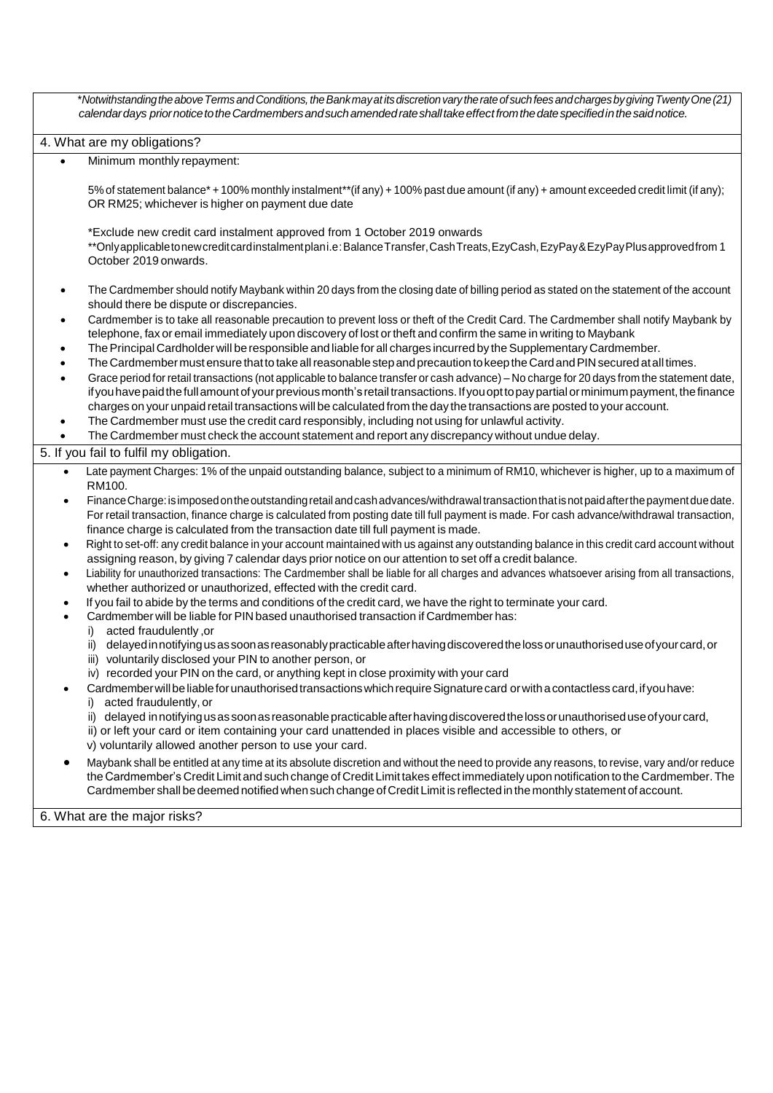\**NotwithstandingtheaboveTermsandConditions,theBankmayatitsdiscretionvarytherateofsuchfeesandchargesbygivingTwentyOne(21) calendardays priornoticetotheCardmembersandsuchamendedrateshalltakeeffectfromthedatespecifiedinthesaidnotice.* 4. What are my obligations? Minimum monthly repayment: 5% of statement balance\* + 100% monthly instalment\*\*(if any) + 100% past due amount (if any) + amount exceeded credit limit (if any); OR RM25; whichever is higher on payment due date \*Exclude new credit card instalment approved from 1 October 2019 onwards \*\*Onlyapplicabletonewcreditcardinstalmentplani.e:BalanceTransfer,CashTreats,EzyCash,EzyPay&EzyPayPlusapprovedfrom 1 October 2019 onwards. The Cardmember should notify Maybank within 20 days from the closing date of billing period as stated on the statement of the account should there be dispute or discrepancies. Cardmember is to take all reasonable precaution to prevent loss or theft of the Credit Card. The Cardmember shall notify Maybank by telephone, fax or email immediately upon discovery of lost ortheft and confirm the same in writing to Maybank The Principal Cardholder will be responsible and liable for all charges incurred by the Supplementary Cardmember. The Cardmember must ensure that to take all reasonable step and precaution to keep the Card and PIN secured at all times. Grace period for retail transactions (not applicable to balance transfer or cash advance) – No charge for 20 days from the statement date, if you have paid the full amount of your previous month's retail transactions. If you opt to pay partial or minimum payment, the finance charges on your unpaid retail transactions will be calculated from the day the transactions are posted to your account. The Cardmember must use the credit card responsibly, including not using for unlawful activity. The Cardmember must check the account statement and report any discrepancy without undue delay. 5. If you fail to fulfil my obligation. Late payment Charges: 1% of the unpaid outstanding balance, subject to a minimum of RM10, whichever is higher, up to a maximum of RM100. FinanceCharge:isimposedontheoutstandingretailandcashadvances/withdrawaltransactionthatisnotpaidafterthepaymentduedate. For retail transaction, finance charge is calculated from posting date till full payment is made. For cash advance/withdrawal transaction, finance charge is calculated from the transaction date till full payment is made. Right to set-off: any credit balance in your account maintained with us against any outstanding balance in this credit card account without assigning reason, by giving 7 calendar days prior notice on our attention to set off a credit balance. Liability for unauthorized transactions: The Cardmember shall be liable for all charges and advances whatsoever arising from all transactions, whether authorized or unauthorized, effected with the credit card. If you fail to abide by the terms and conditions of the credit card, we have the right to terminate your card. Cardmember will be liable for PIN based unauthorised transaction if Cardmember has: i) acted fraudulently ,or ii) delayed in notifying us as soon as reasonably practicable after having discovered the loss or unauthorised use of your card, or iii) voluntarily disclosed your PIN to another person, or iv) recorded your PIN on the card, or anything kept in close proximity with your card Cardmember will be liable for unauthorised transactions which require Signature card or with a contactless card, if you have: i) acted fraudulently, or ii) delayed innotifyingus as soon as reasonable practicable after having discovered the loss or unauthorised use of your card, ii) or left your card or item containing your card unattended in places visible and accessible to others, or v) voluntarily allowed another person to use your card. Maybank shall be entitled at any time at its absolute discretion and without the need to provide any reasons, to revise, vary and/or reduce the Cardmember's Credit Limit and such change of Credit Limit takes effect immediately upon notification to the Cardmember.The Cardmember shall bedeemed notified whensuch change of CreditLimit is reflected in the monthly statement of account. 6. What are the major risks?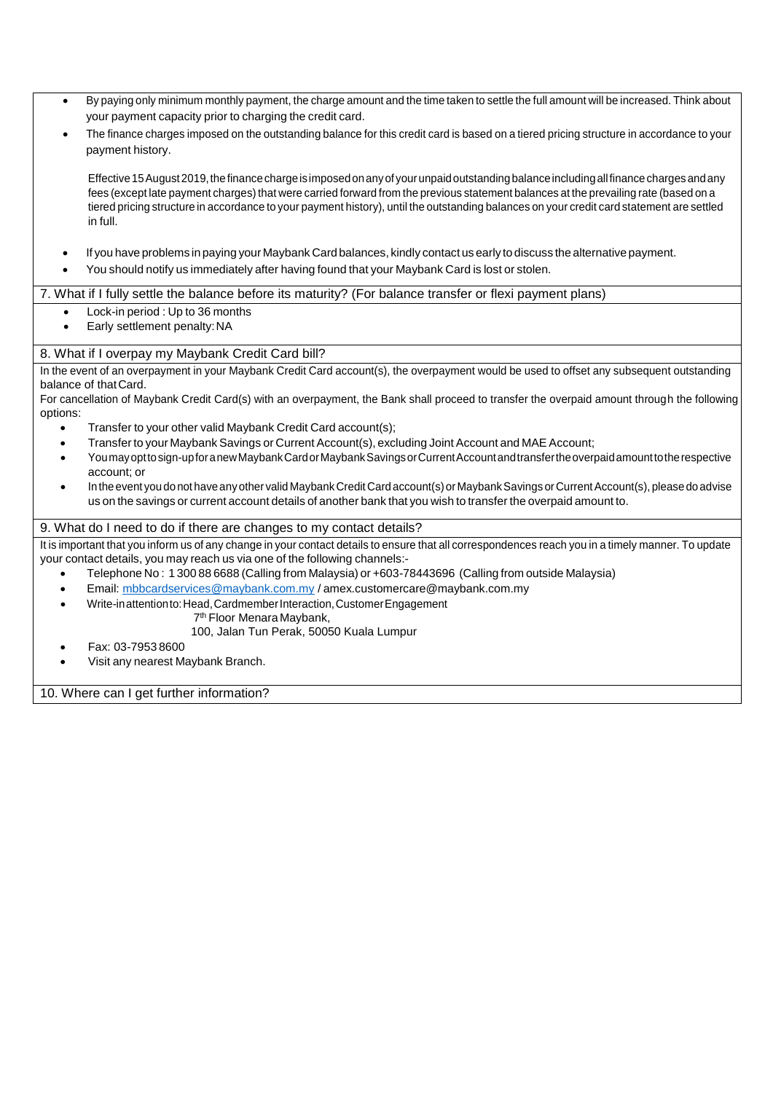By paying only minimum monthly payment, the charge amount and the time taken to settle the full amount will be increased. Think about your payment capacity prior to charging the credit card. The finance charges imposed on the outstanding balance for this credit card is based on a tiered pricing structure in accordance to your payment history. Effective 15 August 2019, the finance charge is imposed on any of your unpaid outstanding balance including all finance charges and any fees (except late payment charges) that were carried forward from the previous statement balances at the prevailing rate (based on a tiered pricing structure in accordance to your payment history), until the outstanding balances on your credit card statement are settled in full. If you have problems in paying your Maybank Card balances, kindly contact us early to discuss the alternative payment. You should notify us immediately after having found that your Maybank Card is lost or stolen. 7. What if I fully settle the balance before its maturity? (For balance transfer or flexi payment plans) Lock-in period : Up to 36 months Early settlement penalty:NA 8. What if I overpay my Maybank Credit Card bill? In the event of an overpayment in your Maybank Credit Card account(s), the overpayment would be used to offset any subsequent outstanding balance of thatCard. For cancellation of Maybank Credit Card(s) with an overpayment, the Bank shall proceed to transfer the overpaid amount through the following options: Transfer to your other valid Maybank Credit Card account(s); Transfer to your Maybank Savings or Current Account(s), excluding Joint Account and MAE Account; Youmayopttosign-upforanewMaybankCardorMaybankSavingsorCurrentAccountandtransfertheoverpaidamounttotherespective account; or In the event you do not have any other valid Maybank Credit Card account(s) or Maybank Savings or Current Account(s), please do advise us on the savings or current account details of another bank that you wish to transfer the overpaid amount to. 9. What do I need to do if there are changes to my contact details? It is important that you inform us of any change in your contact details to ensure that all correspondences reach you in a timely manner. To update your contact details, you may reach us via one of the following channels:- Telephone No : 1 300 88 6688 (Calling from Malaysia) or +603-78443696 (Calling from outside Malaysia) Email: [mbbcardservices@maybank.com.my](mailto:mbbcardservices@maybank.com.my) / [amex.customercare@maybank.com.my](mailto:amex.customercare@maybank.com.my) Write-inattentionto:Head,CardmemberInteraction,CustomerEngagement 7 th Floor Menara Maybank, 100, Jalan Tun Perak, 50050 Kuala Lumpur Fax: 03-7953 8600 Visit any nearest Maybank Branch. 10. Where can I get further information?